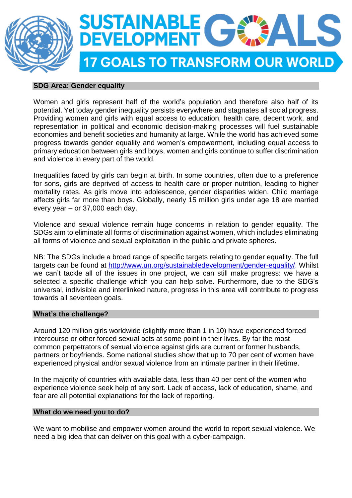

### **SDG Area: Gender equality**

Women and girls represent half of the world's population and therefore also half of its potential. Yet today gender inequality persists everywhere and stagnates all social progress. Providing women and girls with equal access to education, health care, decent work, and representation in political and economic decision-making processes will fuel sustainable economies and benefit societies and humanity at large. While the world has achieved some progress towards gender equality and women's empowerment, including equal access to primary education between girls and boys, women and girls continue to suffer discrimination and violence in every part of the world.

Inequalities faced by girls can begin at birth. In some countries, often due to a preference for sons, girls are deprived of access to health care or proper nutrition, leading to higher mortality rates. As girls move into adolescence, gender disparities widen. Child marriage affects girls far more than boys. Globally, nearly 15 million girls under age 18 are married every year – or 37,000 each day.

Violence and sexual violence remain huge concerns in relation to gender equality. The SDGs aim to eliminate all forms of discrimination against women, which includes eliminating all forms of violence and sexual exploitation in the public and private spheres.

NB: The SDGs include a broad range of specific targets relating to gender equality. The full targets can be found at [http://www.un.org/sustainabledevelopment/gender-equality/.](http://www.un.org/sustainabledevelopment/gender-equality/) Whilst we can't tackle all of the issues in one project, we can still make progress: we have a selected a specific challenge which you can help solve. Furthermore, due to the SDG's universal, indivisible and interlinked nature, progress in this area will contribute to progress towards all seventeen goals.

# **What's the challenge?**

Around 120 million girls worldwide (slightly more than 1 in 10) have experienced forced intercourse or other forced sexual acts at some point in their lives. By far the most common perpetrators of sexual violence against girls are current or former husbands, partners or boyfriends. Some national studies show that up to 70 per cent of women have experienced physical and/or sexual violence from an intimate partner in their lifetime.

In the majority of countries with available data, less than 40 per cent of the women who experience violence seek help of any sort. Lack of access, lack of education, shame, and fear are all potential explanations for the lack of reporting.

#### **What do we need you to do?**

We want to mobilise and empower women around the world to report sexual violence. We need a big idea that can deliver on this goal with a cyber-campaign.